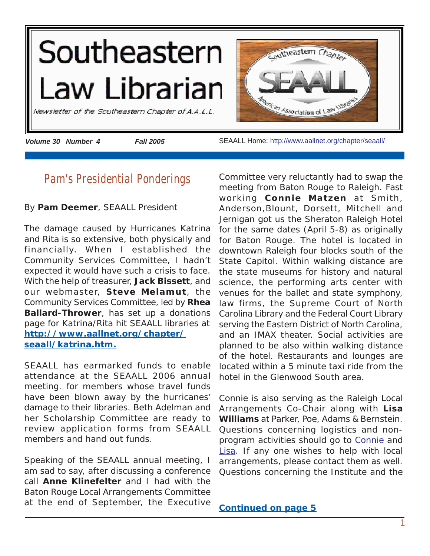<span id="page-0-0"></span>

# **Pam's Presidential Ponderings**

By **Pam Deemer**, SEAALL President

The damage caused by Hurricanes Katrina and Rita is so extensive, both physically and financially. When I established the Community Services Committee, I hadn't expected it would have such a crisis to face. With the help of treasurer, **Jack Bissett**, and our webmaster, **Steve Melamut**, the Community Services Committee, led by **Rhea Ballard-Thrower**, has set up a donations page for Katrina/Rita hit SEAALL libraries at **[http://www.aallnet.org/chapter/](http://www.aallnet.org/chapter/seaall/katrina.htm) [seaall/katrina.htm](http://www.aallnet.org/chapter/seaall/katrina.htm).**

SEAALL has earmarked funds to enable attendance at the SEAALL 2006 annual meeting. for members whose travel funds have been blown away by the hurricanes' damage to their libraries. Beth Adelman and her Scholarship Committee are ready to review application forms from SEAALL members and hand out funds.

Speaking of the SEAALL annual meeting, I am sad to say, after discussing a conference call **Anne Klinefelter** and I had with the Baton Rouge Local Arrangements Committee at the end of September, the Executive

Committee very reluctantly had to swap the meeting from Baton Rouge to Raleigh. Fast working **Connie Matzen** at Smith, Anderson,Blount, Dorsett, Mitchell and Jernigan got us the Sheraton Raleigh Hotel for the same dates (April 5-8) as originally for Baton Rouge. The hotel is located in downtown Raleigh four blocks south of the State Capitol. Within walking distance are the state museums for history and natural science, the performing arts center with venues for the ballet and state symphony, law firms, the Supreme Court of North Carolina Library and the Federal Court Library serving the Eastern District of North Carolina, and an IMAX theater. Social activities are planned to be also within walking distance of the hotel. Restaurants and lounges are located within a 5 minute taxi ride from the hotel in the Glenwood South area.

Connie is also serving as the Raleigh Local Arrangements Co-Chair along with **Lisa Williams** at Parker, Poe, Adams & Bernstein. Questions concerning logistics and nonprogram activities should go to [Connie a](mailto:cmatzen@smithlaw.com)nd [Lisa.](mailto:lisawilliams@parkerpoe.com) If any one wishes to help with local arrangements, please contact them as well. Questions concerning the Institute and the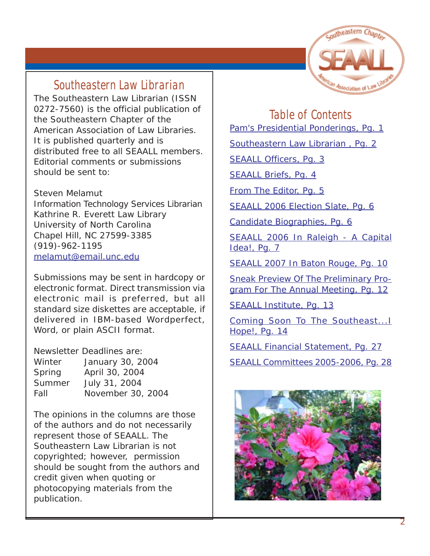

# **Southeastern Law Librarian**

The Southeastern Law Librarian (ISSN 0272-7560) is the official publication of the Southeastern Chapter of the American Association of Law Libraries. It is published quarterly and is distributed free to all SEAALL members. Editorial comments or submissions should be sent to:

Steven Melamut Information Technology Services Librarian Kathrine R. Everett Law Library University of North Carolina Chapel Hill, NC 27599-3385 (919)-962-1195 [melamut@email.unc.edu](mailto:melamut@email.unc.edu)

Submissions may be sent in hardcopy or electronic format. Direct transmission via electronic mail is preferred, but all standard size diskettes are acceptable, if delivered in IBM-based Wordperfect, Word, or plain ASCII format.

Newsletter Deadlines are:

| Winter | January 30, 2004  |
|--------|-------------------|
| Spring | April 30, 2004    |
| Summer | July 31, 2004     |
| Fall   | November 30, 2004 |

The opinions in the columns are those of the authors and do not necessarily represent those of SEAALL. The Southeastern Law Librarian is not copyrighted; however, permission should be sought from the authors and credit given when quoting or photocopying materials from the publication.

# **Table of Contents**

[Pam's Presidential Ponderings, Pg. 1](#page-0-0)

Southeastern Law Librarian, Pg. 2

[SEAALL Officers, Pg. 3](#page-2-0)

[SEAALL Briefs, Pg. 4](#page-3-0)

[From The Editor, Pg. 5](#page-4-0)

[SEAALL 2006 Election Slate, Pg. 6](#page-5-0)

[Candidate Biographies, Pg. 6](#page-5-0)

[SEAALL 2006 In Raleigh - A Capital](#page-6-0) Idea!, Pq. 7

[SEAALL 2007 In Baton Rouge, Pg. 10](#page-9-0)

[Sneak Preview Of The Preliminary Pro](#page-11-0)[gram For The Annual Meeting, Pg. 12](#page-11-0)

[SEAALL Institute, Pg. 13](#page-12-0)

[Coming Soon To The Southeast...I](#page-13-0) [Hope!, Pg. 14](#page-13-0)

[SEAALL Financial Statement, Pg. 27](#page-26-0)

[SEAALL Committees 2005-2006, Pg.](#page-27-0) 28

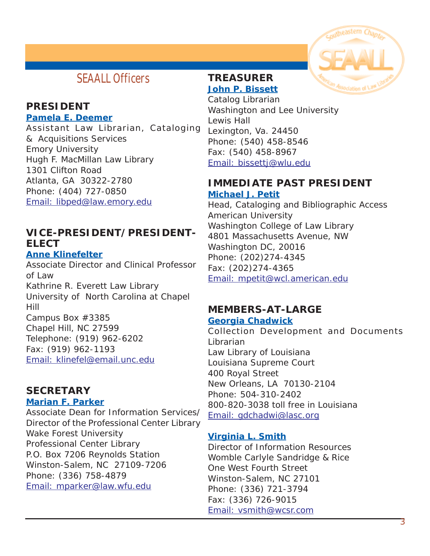# <span id="page-2-0"></span>**SEAALL Officers**

### **PRESIDENT Pamela E. Deemer**

Assistant Law Librarian, Cataloging & Acquisitions Services Emory University Hugh F. MacMillan Law Library 1301 Clifton Road Atlanta, GA 30322-2780 Phone: (404) 727-0850 [Email: libped@law.emory.edu](mailto:libped@law.emory.edu)

## **VICE-PRESIDENT/PRESIDENT-ELECT**

### **Anne Klinefelter**

Associate Director and Clinical Professor of Law Kathrine R. Everett Law Library University of North Carolina at Chapel Hill Campus Box #3385 Chapel Hill, NC 27599 Telephone: (919) 962-6202 Fax: (919) 962-1193 [Email: klinefel@email.unc.edu](mailto:klinefel@email.unc.edu)

# **SECRETARY**

### **Marian F. Parker**

Associate Dean for Information Services/ Director of the Professional Center Library Wake Forest University Professional Center Library P.O. Box 7206 Reynolds Station Winston-Salem, NC 27109-7206 Phone: (336) 758-4879 [Email: mparker@law.wfu.edu](mailto:mparker@law.wfu.edu)

## **TREASURER John P. Bissett**

Catalog Librarian Washington and Lee University Lewis Hall Lexington, Va. 24450 Phone: (540) 458-8546 Fax: (540) 458-8967 [Email: bissettj@wlu.edu](mailto:bissettj@wlu.edu)

### **IMMEDIATE PAST PRESIDENT Michael J. Petit**

Head, Cataloging and Bibliographic Access American University Washington College of Law Library 4801 Massachusetts Avenue, NW Washington DC, 20016 Phone: (202)274-4345 Fax: (202)274-4365 [Email: mpetit@wcl.american.edu](mailto:mpetit@wcl.american.edu)

# **MEMBERS-AT-LARGE**

### **Georgia Chadwick**

Collection Development and Documents Librarian Law Library of Louisiana Louisiana Supreme Court 400 Royal Street New Orleans, LA 70130-2104 Phone: 504-310-2402 800-820-3038 toll free in Louisiana [Email: gdchadwi@lasc.org](mailto:gdchadwi@lasc.org)

### **Virginia L. Smith**

Director of Information Resources Womble Carlyle Sandridge & Rice One West Fourth Street Winston-Salem, NC 27101 Phone: (336) 721-3794 Fax: (336) 726-9015 [Email: vsmith@wcsr.com](mailto:vsmith@wcsr.com)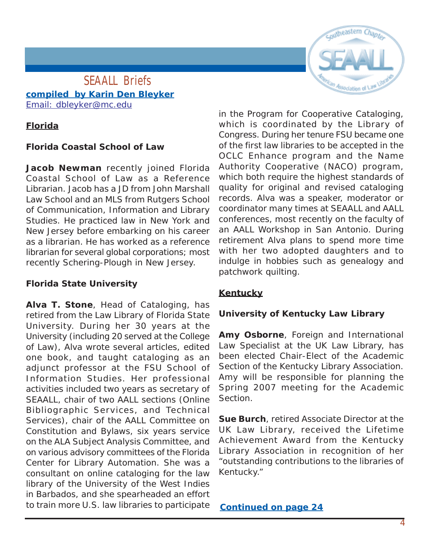# Coutheastern

### <span id="page-3-0"></span>**SEAALL Briefs compiled by Karin Den Bleyker** [Email: dbleyker@mc.edu](mailto:dbleyker@mc.edu)

### **Florida**

### **Florida Coastal School of Law**

**Jacob Newman** recently joined Florida Coastal School of Law as a Reference Librarian. Jacob has a JD from John Marshall Law School and an MLS from Rutgers School of Communication, Information and Library Studies. He practiced law in New York and New Jersey before embarking on his career as a librarian. He has worked as a reference librarian for several global corporations; most recently Schering-Plough in New Jersey.

### **Florida State University**

**Alva T. Stone**, Head of Cataloging, has retired from the Law Library of Florida State University. During her 30 years at the University (including 20 served at the College of Law), Alva wrote several articles, edited one book, and taught cataloging as an adjunct professor at the FSU School of Information Studies. Her professional activities included two years as secretary of SEAALL, chair of two AALL sections (Online Bibliographic Services, and Technical Services), chair of the AALL Committee on Constitution and Bylaws, six years service on the ALA Subject Analysis Committee, and on various advisory committees of the Florida Center for Library Automation. She was a consultant on online cataloging for the law library of the University of the West Indies in Barbados, and she spearheaded an effort to train more U.S. law libraries to participate

in the Program for Cooperative Cataloging, which is coordinated by the Library of Congress. During her tenure FSU became one of the first law libraries to be accepted in the OCLC Enhance program and the Name Authority Cooperative (NACO) program, which both require the highest standards of quality for original and revised cataloging records. Alva was a speaker, moderator or coordinator many times at SEAALL and AALL conferences, most recently on the faculty of an AALL Workshop in San Antonio. During retirement Alva plans to spend more time with her two adopted daughters and to indulge in hobbies such as genealogy and patchwork quilting.

### **Kentucky**

### **University of Kentucky Law Library**

**Amy Osborne**, Foreign and International Law Specialist at the UK Law Library, has been elected Chair-Elect of the Academic Section of the Kentucky Library Association. Amy will be responsible for planning the Spring 2007 meeting for the Academic Section.

**Sue Burch**, retired Associate Director at the UK Law Library, received the Lifetime Achievement Award from the Kentucky Library Association in recognition of her "outstanding contributions to the libraries of Kentucky."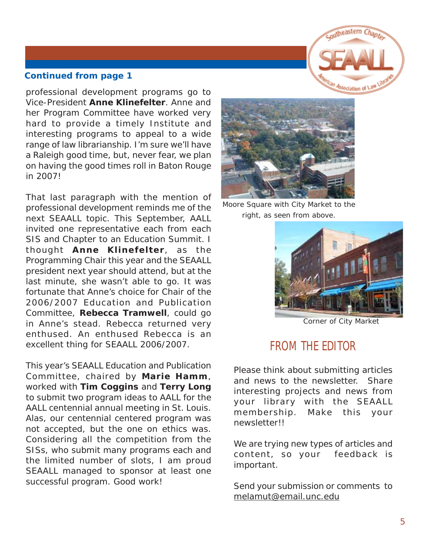

<span id="page-4-0"></span>professional development programs go to Vice-President **Anne Klinefelter**. Anne and her Program Committee have worked very hard to provide a timely Institute and interesting programs to appeal to a wide range of law librarianship. I'm sure we'll have a Raleigh good time, but, never fear, we plan on having the good times roll in Baton Rouge in 2007!

That last paragraph with the mention of professional development reminds me of the next SEAALL topic. This September, AALL invited one representative each from each SIS and Chapter to an Education Summit. I thought **Anne Klinefelter**, as the Programming Chair this year and the SEAALL president next year should attend, but at the last minute, she wasn't able to go. It was fortunate that Anne's choice for Chair of the 2006/2007 Education and Publication Committee, **Rebecca Tramwell**, could go in Anne's stead. Rebecca returned very enthused. An enthused Rebecca is an excellent thing for SEAALL 2006/2007.

This year's SEAALL Education and Publication Committee, chaired by **Marie Hamm**, worked with **Tim Coggins** and **Terry Long** to submit two program ideas to AALL for the AALL centennial annual meeting in St. Louis. Alas, our centennial centered program was not accepted, but the one on ethics was. Considering all the competition from the SISs, who submit many programs each and the limited number of slots, I am proud SEAALL managed to sponsor at least one successful program. Good work!



Moore Square with City Market to the right, as seen from above.



Corner of City Market

# **FROM THE EDITOR**

Please think about submitting articles and news to the newsletter. Share interesting projects and news from your library with the SEAALL membership. Make this your newsletter!!

We are trying new types of articles and content, so your feedback is important.

Send your submission or comments to [melamut@email.unc.edu](mailto:melamut@email.unc.edu)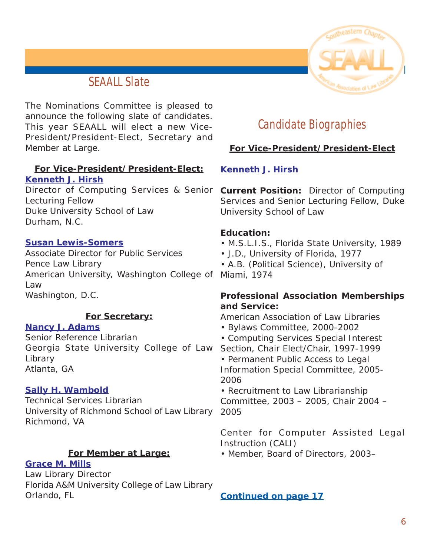# **SEAALL Slate**

<span id="page-5-0"></span>The Nominations Committee is pleased to announce the following slate of candidates. This year SEAALL will elect a new Vice-President/President-Elect, Secretary and Member at Large.

### **For Vice-President/President-Elect: Kenneth J. Hirsh**

Director of Computing Services & Senior **Current Position:** Director of Computing Lecturing Fellow Duke University School of Law Durham, N.C.

### **[Susan Lewis-Somers](#page-17-0)**

Associate Director for Public Services Pence Law Library American University, Washington College of Miami, 1974 Law Washington, D.C.

### **For Secretary:**

### **[Nancy J. Adams](#page-19-0)**

Senior Reference Librarian Georgia State University College of Law Library Atlanta, GA

### **[Sally H. Wambold](#page-20-0)**

Technical Services Librarian University of Richmond School of Law Library 2005 Richmond, VA

### **For Member at Large:**

### **[Grace M. Mills](#page-22-0)**

Law Library Director Florida A&M University College of Law Library Orlando, FL



# **Candidate Biographies**

### **For Vice-President/President-Elect**

### **Kenneth J. Hirsh**

Services and Senior Lecturing Fellow, Duke University School of Law

### **Education:**

- M.S.L.I.S., Florida State University, 1989
- J.D., University of Florida, 1977

• A.B. (Political Science), University of

### **Professional Association Memberships and Service:**

American Association of Law Libraries

- Bylaws Committee, 2000-2002
- Computing Services Special Interest Section, Chair Elect/Chair, 1997-1999 • Permanent Public Access to Legal Information Special Committee, 2005- 2006

• Recruitment to Law Librarianship Committee, 2003 – 2005, Chair 2004 –

Center for Computer Assisted Legal Instruction (CALI)

• Member, Board of Directors, 2003–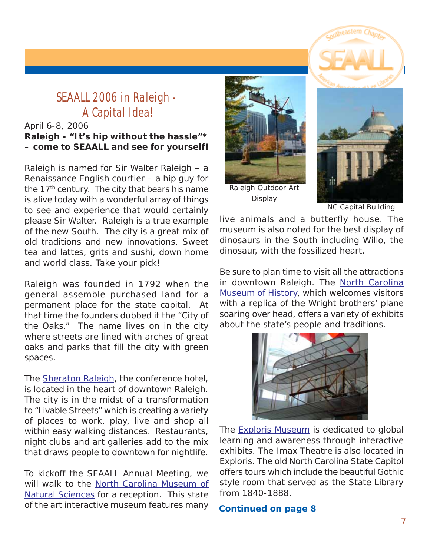# <span id="page-6-0"></span>**SEAALL 2006 in Raleigh - A Capital Idea!**

### April 6-8, 2006 **Raleigh - "It's hip without the hassle"\* – come to SEAALL and see for yourself!**

Raleigh is named for Sir Walter Raleigh – a Renaissance English courtier – a hip guy for the 17<sup>th</sup> century. The city that bears his name is alive today with a wonderful array of things to see and experience that would certainly please Sir Walter. Raleigh is a true example of the new South. The city is a great mix of old traditions and new innovations. Sweet tea and lattes, grits and sushi, down home and world class. Take your pick!

Raleigh was founded in 1792 when the general assemble purchased land for a permanent place for the state capital. At that time the founders dubbed it the "City of the Oaks." The name lives on in the city where streets are lined with arches of great oaks and parks that fill the city with green spaces.

The [Sheraton Raleigh,](http://www.starwoodhotels.com/sheraton/search/hotel_detail.html?propertyID=434&EM=aa_Google_sheraton_hotel_raleigh_100705) the conference hotel, is located in the heart of downtown Raleigh. The city is in the midst of a transformation to "Livable Streets" which is creating a variety of places to work, play, live and shop all within easy walking distances. Restaurants, night clubs and art galleries add to the mix that draws people to downtown for nightlife.

To kickoff the SEAALL Annual Meeting, we will walk to the [North Carolina Museum of](http://www.naturalsciences.org/) [Natural Sciences f](http://www.naturalsciences.org/)or a reception. This state of the art interactive museum features many



Raleigh Outdoor Art Display



NC Capital Building

live animals and a butterfly house. The museum is also noted for the best display of dinosaurs in the South including Willo, the dinosaur, with the fossilized heart.

Be sure to plan time to visit all the attractions in downtown Raleigh. The [North Carolina](http://www.ncmuseumofhistory.org/) [Museum of History,](http://www.ncmuseumofhistory.org/) which welcomes visitors with a replica of the Wright brothers' plane soaring over head, offers a variety of exhibits about the state's people and traditions.



The **Exploris Museum** is dedicated to global learning and awareness through interactive exhibits. The Imax Theatre is also located in Exploris. The old North Carolina State Capitol offers tours which include the beautiful Gothic style room that served as the State Library from 1840-1888.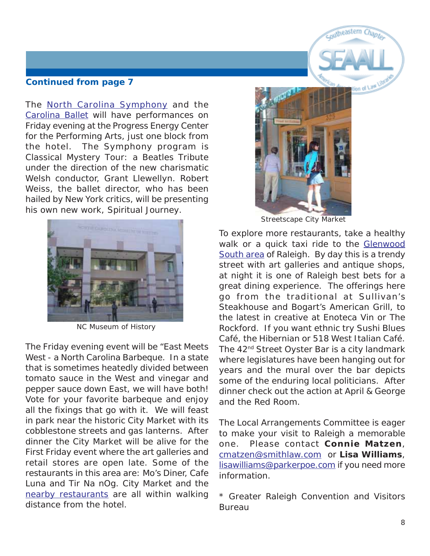The [North Carolina Symphony](http://www.ncsymphony.org) and the [Carolina Ballet](http://www.carolinaballet.com) will have performances on Friday evening at the Progress Energy Center for the Performing Arts, just one block from the hotel. The Symphony program is *Classical Mystery Tour: a Beatles Tribute* under the direction of the new charismatic Welsh conductor, Grant Llewellyn. Robert Weiss, the ballet director, who has been hailed by New York critics, will be presenting his own new work, *Spiritual Journey.*



NC Museum of History

The Friday evening event will be "East Meets West - a North Carolina Barbeque. In a state that is sometimes heatedly divided between tomato sauce in the West and vinegar and pepper sauce down East, we will have both! Vote for your favorite barbeque and enjoy all the fixings that go with it. We will feast in park near the historic City Market with its cobblestone streets and gas lanterns. After dinner the City Market will be alive for the First Friday event where the art galleries and retail stores are open late. Some of the restaurants in this area are: Mo's Diner, Cafe Luna and Tir Na nOg. City Market and the [nearby restaurants](http://triangle.citysearch.com/profile/6177125) are all within walking distance from the hotel.



Coutheastern

 $1000$ 

Streetscape City Market

To explore more restaurants, take a healthy walk or a quick taxi ride to the [Glenwood](http://cityguide.aol.com/raleigh/neighborhoodsraleigh/main.adp?page=glenwoodsouth) [South area](http://cityguide.aol.com/raleigh/neighborhoodsraleigh/main.adp?page=glenwoodsouth) of Raleigh. By day this is a trendy street with art galleries and antique shops, at night it is one of Raleigh best bets for a great dining experience. The offerings here go from the traditional at Sullivan's Steakhouse and Bogart's American Grill, to the latest in creative at Enoteca Vin or The Rockford. If you want ethnic try Sushi Blues Café, the Hibernian or 518 West Italian Café. The 42<sup>nd</sup> Street Oyster Bar is a city landmark where legislatures have been hanging out for years and the mural over the bar depicts some of the enduring local politicians. After dinner check out the action at April & George and the Red Room.

The Local Arrangements Committee is eager to make your visit to Raleigh a memorable one. Please contact **Connie Matzen**, [cmatzen@smithlaw.com o](mailto:cmatzen@smithlaw.com)r **Lisa Williams**, [lisawilliams@parkerpoe.com i](mailto:lisawilliams@parkerpoe.com)f you need more information.

\* Greater Raleigh Convention and Visitors Bureau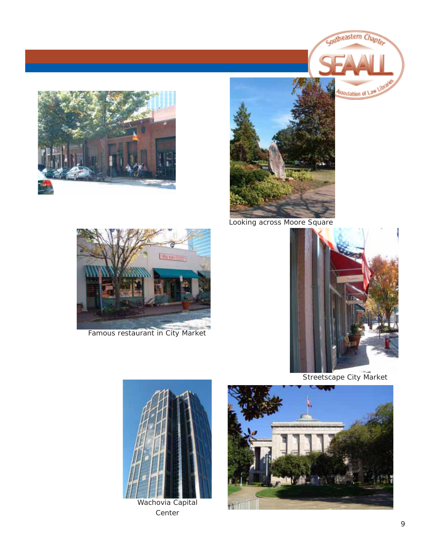



Looking across Moore Square



Famous restaurant in City Market



Southeastern Chapter

Association of Law

Streetscape City Market



Wachovia Capital Center

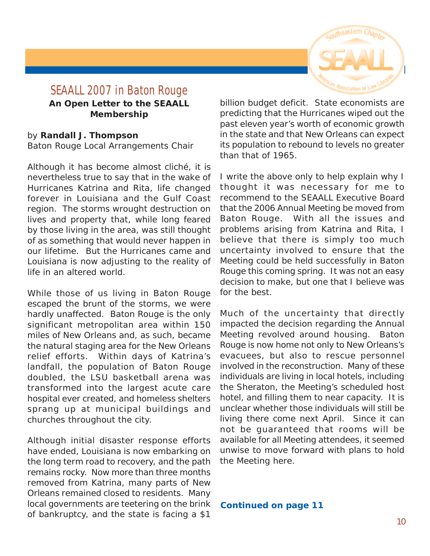

### <span id="page-9-0"></span>**SEAALL 2007 in Baton Rouge An Open Letter to the SEAALL Membership**

### by **Randall J. Thompson** Baton Rouge Local Arrangements Chair

Although it has become almost cliché, it is nevertheless true to say that in the wake of Hurricanes Katrina and Rita, life changed forever in Louisiana and the Gulf Coast region. The storms wrought destruction on lives and property that, while long feared by those living in the area, was still thought of as something that would never happen in our lifetime. But the Hurricanes came and Louisiana is now adjusting to the reality of life in an altered world.

While those of us living in Baton Rouge escaped the brunt of the storms, we were hardly unaffected. Baton Rouge is the only significant metropolitan area within 150 miles of New Orleans and, as such, became the natural staging area for the New Orleans relief efforts. Within days of Katrina's landfall, the population of Baton Rouge doubled, the LSU basketball arena was transformed into the largest acute care hospital ever created, and homeless shelters sprang up at municipal buildings and churches throughout the city.

Although initial disaster response efforts have ended, Louisiana is now embarking on the long term road to recovery, and the path remains rocky. Now more than three months removed from Katrina, many parts of New Orleans remained closed to residents. Many local governments are teetering on the brink of bankruptcy, and the state is facing a \$1

billion budget deficit. State economists are predicting that the Hurricanes wiped out the past eleven year's worth of economic growth in the state and that New Orleans can expect its population to rebound to levels no greater than that of 1965.

I write the above only to help explain why I thought it was necessary for me to recommend to the SEAALL Executive Board that the 2006 Annual Meeting be moved from Baton Rouge. With all the issues and problems arising from Katrina and Rita, I believe that there is simply too much uncertainty involved to ensure that the Meeting could be held successfully in Baton Rouge this coming spring. It was not an easy decision to make, but one that I believe was for the best.

Much of the uncertainty that directly impacted the decision regarding the Annual Meeting revolved around housing. Baton Rouge is now home not only to New Orleans's evacuees, but also to rescue personnel involved in the reconstruction. Many of these individuals are living in local hotels, including the Sheraton, the Meeting's scheduled host hotel, and filling them to near capacity. It is unclear whether those individuals will still be living there come next April. Since it can not be guaranteed that rooms will be available for all Meeting attendees, it seemed unwise to move forward with plans to hold the Meeting here.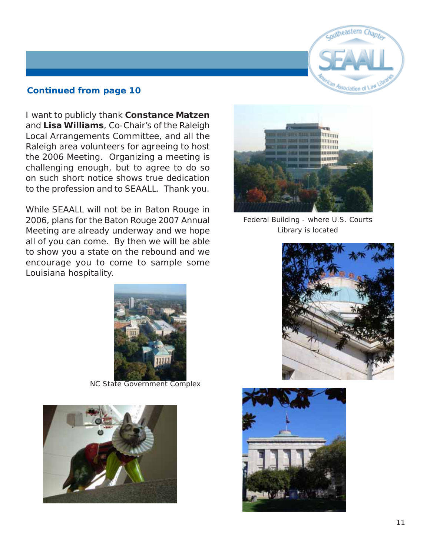

I want to publicly thank **Constance Matzen** and **Lisa Williams**, Co-Chair's of the Raleigh Local Arrangements Committee, and all the Raleigh area volunteers for agreeing to host the 2006 Meeting. Organizing a meeting is challenging enough, but to agree to do so on such short notice shows true dedication to the profession and to SEAALL. Thank you.

While SEAALL will not be in Baton Rouge in 2006, plans for the Baton Rouge 2007 Annual Meeting are already underway and we hope all of you can come. By then we will be able to show you a state on the rebound and we encourage you to come to sample some Louisiana hospitality.



Federal Building - where U.S. Courts Library is located



NC State Government Complex





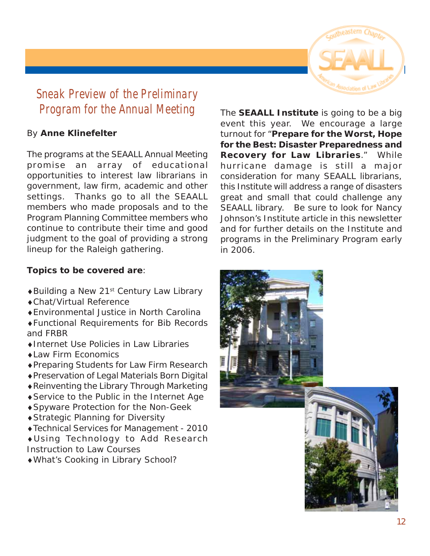

# <span id="page-11-0"></span>**Sneak Preview of the Preliminary Program for the Annual Meeting**

### By **Anne Klinefelter**

The programs at the SEAALL Annual Meeting promise an array of educational opportunities to interest law librarians in government, law firm, academic and other settings. Thanks go to all the SEAALL members who made proposals and to the Program Planning Committee members who continue to contribute their time and good judgment to the goal of providing a strong lineup for the Raleigh gathering.

### **Topics to be covered are**:

- ♦Building a New 21st Century Law Library
- ♦Chat/Virtual Reference
- ♦Environmental Justice in North Carolina
- ♦Functional Requirements for Bib Records and FRBR
- ♦Internet Use Policies in Law Libraries
- ♦Law Firm Economics
- ♦Preparing Students for Law Firm Research
- ♦Preservation of Legal Materials Born Digital
- ♦Reinventing the Library Through Marketing
- ♦Service to the Public in the Internet Age
- ♦Spyware Protection for the Non-Geek
- ♦Strategic Planning for Diversity
- ♦Technical Services for Management 2010
- ♦Using Technology to Add Research Instruction to Law Courses
- ♦What's Cooking in Library School?

The **SEAALL Institute** is going to be a big event this year. We encourage a large turnout for "**Prepare for the Worst, Hope for the Best: Disaster Preparedness and Recovery for Law Libraries**." While hurricane damage is still a major consideration for many SEAALL librarians, this Institute will address a range of disasters great and small that could challenge any SEAALL library. Be sure to look for Nancy Johnson's Institute article in this newsletter and for further details on the Institute and programs in the Preliminary Program early in 2006.

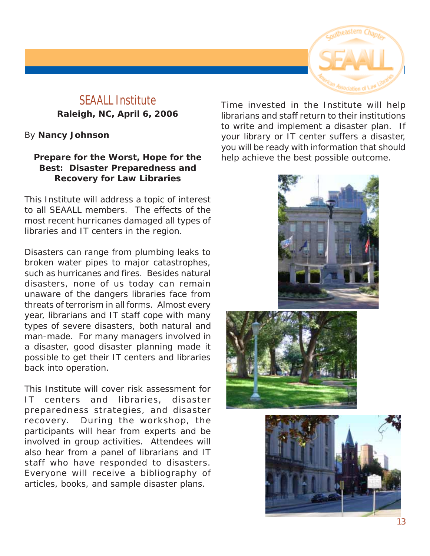

# <span id="page-12-0"></span>**SEAALL Institute Raleigh, NC, April 6, 2006**

### By **Nancy Johnson**

### **Prepare for the Worst, Hope for the Best: Disaster Preparedness and Recovery for Law Libraries**

This Institute will address a topic of interest to all SEAALL members. The effects of the most recent hurricanes damaged all types of libraries and IT centers in the region.

Disasters can range from plumbing leaks to broken water pipes to major catastrophes, such as hurricanes and fires. Besides natural disasters, none of us today can remain unaware of the dangers libraries face from threats of terrorism in all forms. Almost every year, librarians and IT staff cope with many types of severe disasters, both natural and man-made. For many managers involved in a disaster, good disaster planning made it possible to get their IT centers and libraries back into operation.

This Institute will cover risk assessment for IT centers and libraries, disaster preparedness strategies, and disaster recovery. During the workshop, the participants will hear from experts and be involved in group activities. Attendees will also hear from a panel of librarians and IT staff who have responded to disasters. Everyone will receive a bibliography of articles, books, and sample disaster plans.

Time invested in the Institute will help librarians and staff return to their institutions to write and implement a disaster plan. If your library or IT center suffers a disaster, you will be ready with information that should help achieve the best possible outcome.





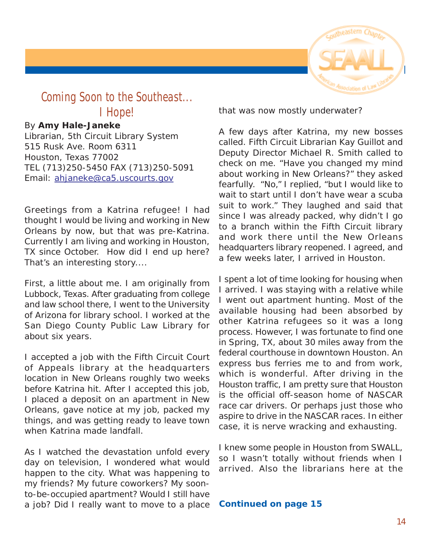

# <span id="page-13-0"></span>**Coming Soon to the Southeast... I Hope!**

### By **Amy Hale-Janeke**

Librarian, 5th Circuit Library System 515 Rusk Ave. Room 6311 Houston, Texas 77002 TEL (713)250-5450 FAX (713)250-5091 Email: [ahjaneke@ca5.uscourts.gov](mailto:ahjaneke@ca5.uscourts.gov)

Greetings from a Katrina refugee! I had thought I would be living and working in New Orleans by now, but that was pre-Katrina. Currently I am living and working in Houston, TX since October. How did I end up here? That's an interesting story....

First, a little about me. I am originally from Lubbock, Texas. After graduating from college and law school there, I went to the University of Arizona for library school. I worked at the San Diego County Public Law Library for about six years.

I accepted a job with the Fifth Circuit Court of Appeals library at the headquarters location in New Orleans roughly two weeks before Katrina hit. After I accepted this job, I placed a deposit on an apartment in New Orleans, gave notice at my job, packed my things, and was getting ready to leave town when Katrina made landfall.

As I watched the devastation unfold every day on television, I wondered what would happen to the city. What was happening to my friends? My future coworkers? My soonto-be-occupied apartment? Would I still have a job? Did I really want to move to a place that was now mostly underwater?

A few days after Katrina, my new bosses called. Fifth Circuit Librarian Kay Guillot and Deputy Director Michael R. Smith called to check on me. "Have you changed my mind about working in New Orleans?" they asked fearfully. "No," I replied, "but I would like to wait to start until I don't have wear a scuba suit to work." They laughed and said that since I was already packed, why didn't I go to a branch within the Fifth Circuit library and work there until the New Orleans headquarters library reopened. I agreed, and a few weeks later, I arrived in Houston.

I spent a lot of time looking for housing when I arrived. I was staying with a relative while I went out apartment hunting. Most of the available housing had been absorbed by other Katrina refugees so it was a long process. However, I was fortunate to find one in Spring, TX, about 30 miles away from the federal courthouse in downtown Houston. An express bus ferries me to and from work, which is wonderful. After driving in the Houston traffic, I am pretty sure that Houston is the official off-season home of NASCAR race car drivers. Or perhaps just those who aspire to drive in the NASCAR races. In either case, it is nerve wracking and exhausting.

I knew some people in Houston from SWALL, so I wasn't totally without friends when I arrived. Also the librarians here at the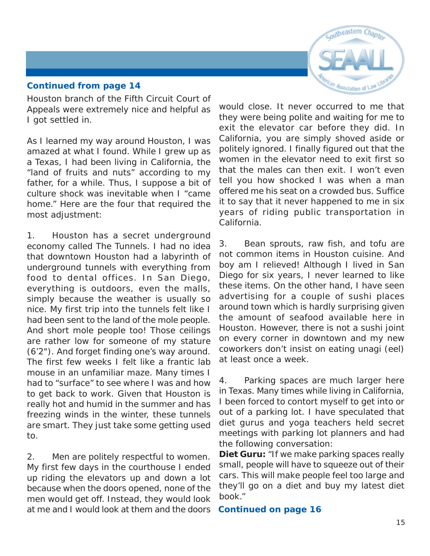# Coutheastern

### **Continued from page 14**

Houston branch of the Fifth Circuit Court of Appeals were extremely nice and helpful as I got settled in.

As I learned my way around Houston, I was amazed at what I found. While I grew up as a Texas, I had been living in California, the "land of fruits and nuts" according to my father, for a while. Thus, I suppose a bit of culture shock was inevitable when I "came home." Here are the four that required the most adjustment:

1. Houston has a secret underground economy called The Tunnels. I had no idea that downtown Houston had a labyrinth of underground tunnels with everything from food to dental offices. In San Diego, everything is outdoors, even the malls, simply because the weather is usually so nice. My first trip into the tunnels felt like I had been sent to the land of the mole people. And short mole people too! Those ceilings are rather low for someone of my stature (6'2"). And forget finding one's way around. The first few weeks I felt like a frantic lab mouse in an unfamiliar maze. Many times I had to "surface" to see where I was and how to get back to work. Given that Houston is really hot and humid in the summer and has freezing winds in the winter, these tunnels are smart. They just take some getting used to.

2. Men are politely respectful to women. My first few days in the courthouse I ended up riding the elevators up and down a lot because when the doors opened, none of the men would get off. Instead, they would look at me and I would look at them and the doors would close. It never occurred to me that they were being polite and waiting for me to exit the elevator car before they did. In California, you are simply shoved aside or politely ignored. I finally figured out that the women in the elevator need to exit first so that the males can then exit. I won't even tell you how shocked I was when a man offered me his seat on a crowded bus. Suffice it to say that it never happened to me in six years of riding public transportation in California.

3. Bean sprouts, raw fish, and tofu are not common items in Houston cuisine. And boy am I relieved! Although I lived in San Diego for six years, I never learned to like these items. On the other hand, I have seen advertising for a couple of sushi places around town which is hardly surprising given the amount of seafood available here in Houston. However, there is not a sushi joint on every corner in downtown and my new coworkers don't insist on eating unagi (eel) at least once a week.

4. Parking spaces are much larger here in Texas. Many times while living in California, I been forced to contort myself to get into or out of a parking lot. I have speculated that diet gurus and yoga teachers held secret meetings with parking lot planners and had the following conversation:

**Diet Guru:** "If we make parking spaces really small, people will have to squeeze out of their cars. This will make people feel too large and they'll go on a diet and buy my latest diet book."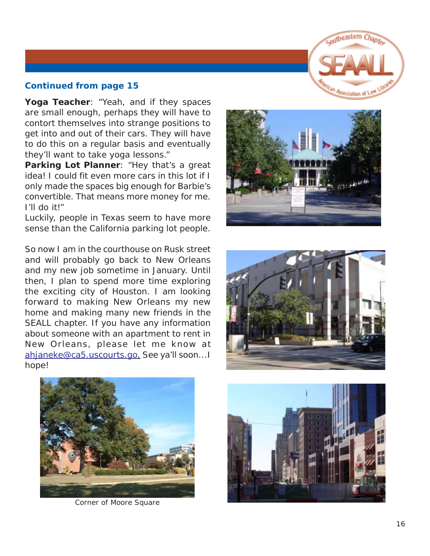

**Yoga Teacher**: "Yeah, and if they spaces are small enough, perhaps they will have to contort themselves into strange positions to get into and out of their cars. They will have to do this on a regular basis and eventually they'll want to take yoga lessons."

Parking Lot Planner: "Hey that's a great idea! I could fit even more cars in this lot if I only made the spaces big enough for Barbie's convertible. That means more money for me. I'll do it!"

Luckily, people in Texas seem to have more sense than the California parking lot people.

So now I am in the courthouse on Rusk street and will probably go back to New Orleans and my new job sometime in January. Until then, I plan to spend more time exploring the exciting city of Houston. I am looking forward to making New Orleans my new home and making many new friends in the SEALL chapter. If you have any information about someone with an apartment to rent in New Orleans, please let me know at ahjaneke@ca5.uscourts.go. See ya'll soon...I hope!







Corner of Moore Square

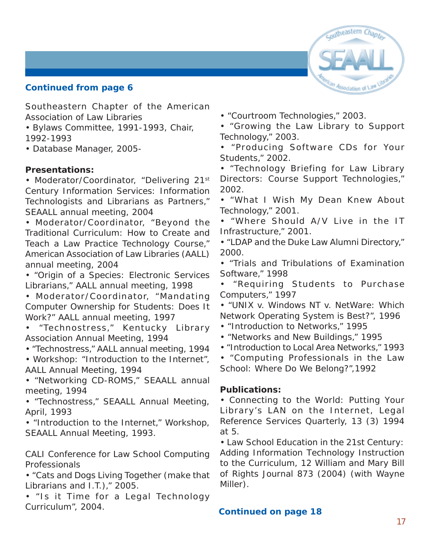

<span id="page-16-0"></span>Southeastern Chapter of the American Association of Law Libraries

- Bylaws Committee, 1991-1993, Chair, 1992-1993
- Database Manager, 2005-

### **Presentations:**

• Moderator/Coordinator, "Delivering 21st Century Information Services: Information Technologists and Librarians as Partners," SEAALL annual meeting, 2004

• Moderator/Coordinator, "Beyond the Traditional Curriculum: How to Create and Teach a Law Practice Technology Course," American Association of Law Libraries (AALL) annual meeting, 2004

• "Origin of a Species: Electronic Services Librarians," AALL annual meeting, 1998

• Moderator/Coordinator, "Mandating Computer Ownership for Students: Does It Work?" AALL annual meeting, 1997

• "Technostress," Kentucky Library Association Annual Meeting, 1994

• "Technostress," AALL annual meeting, 1994

• Workshop: "Introduction to the Internet", AALL Annual Meeting, 1994

• "Networking CD-ROMS," SEAALL annual meeting, 1994

• "Technostress," SEAALL Annual Meeting, April, 1993

• "Introduction to the Internet," Workshop, SEAALL Annual Meeting, 1993.

CALI Conference for Law School Computing Professionals

• "Cats and Dogs Living Together (make that Librarians and I.T.)," 2005.

• "Is it Time for a Legal Technology Curriculum", 2004.

• "Courtroom Technologies," 2003.

• "Growing the Law Library to Support Technology," 2003.

• "Producing Software CDs for Your Students," 2002.

• "Technology Briefing for Law Library Directors: Course Support Technologies," 2002.

• "What I Wish My Dean Knew About Technology," 2001.

• "Where Should A/V Live in the IT Infrastructure," 2001.

• "LDAP and the Duke Law Alumni Directory," 2000.

• "Trials and Tribulations of Examination Software," 1998

• "Requiring Students to Purchase Computers," 1997

• "UNIX v. Windows NT v. NetWare: Which Network Operating System is Best?", 1996

- "Introduction to Networks," 1995
- "Networks and New Buildings," 1995
- "Introduction to Local Area Networks," 1993

• "Computing Professionals in the Law School: Where Do We Belong?",1992

### **Publications:**

• *Connecting to the World: Putting Your Library's LAN on the Internet*, Legal Reference Services Quarterly, 13 (3) 1994 at 5.

• *Law School Education in the 21st Century: Adding Information Technology Instruction to the Curriculum*, 12 William and Mary Bill of Rights Journal 873 (2004) (with Wayne Miller).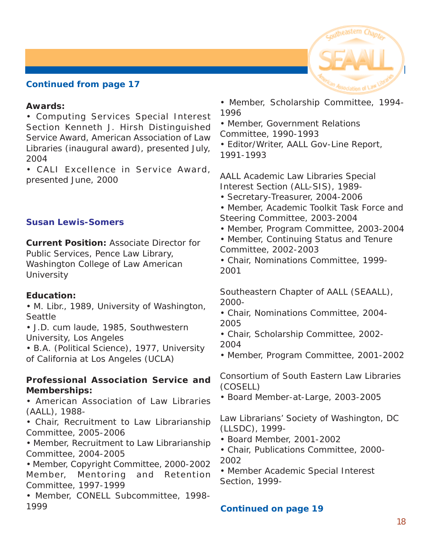

### <span id="page-17-0"></span>**Awards:**

• Computing Services Special Interest Section Kenneth J. Hirsh Distinguished Service Award, American Association of Law Libraries (inaugural award), presented July, 2004

• CALI Excellence in Service Award, presented June, 2000

### **Susan Lewis-Somers**

**Current Position:** Associate Director for Public Services, Pence Law Library, Washington College of Law American **University** 

### **Education:**

• M. Libr., 1989, University of Washington, Seattle

• J.D. *cum laude*, 1985, Southwestern University, Los Angeles

• B.A. (Political Science), 1977, University of California at Los Angeles (UCLA)

### **Professional Association Service and Memberships:**

• American Association of Law Libraries (AALL), 1988-

• Chair, Recruitment to Law Librarianship Committee, 2005-2006

• Member, Recruitment to Law Librarianship Committee, 2004-2005

• Member, Copyright Committee, 2000-2002 Member, Mentoring and Retention Committee, 1997-1999

• Member, CONELL Subcommittee, 1998- 1999

- Member, Scholarship Committee, 1994- 1996
- Member, Government Relations Committee, 1990-1993
- Editor/Writer, *AALL Gov-Line Report*, 1991-1993

AALL Academic Law Libraries Special Interest Section (ALL-SIS), 1989-

- Secretary-Treasurer, 2004-2006
- Member, Academic Toolkit Task Force and Steering Committee, 2003-2004
- Member, Program Committee, 2003-2004
- Member, Continuing Status and Tenure Committee, 2002-2003
- Chair, Nominations Committee, 1999- 2001

Southeastern Chapter of AALL (SEAALL), 2000-

- Chair, Nominations Committee, 2004- 2005
- Chair, Scholarship Committee, 2002- 2004
- Member, Program Committee, 2001-2002

Consortium of South Eastern Law Libraries (COSELL)

• Board Member-at-Large, 2003-2005

Law Librarians' Society of Washington, DC (LLSDC), 1999-

- Board Member, 2001-2002
- Chair, Publications Committee, 2000- 2002

• Member Academic Special Interest Section, 1999-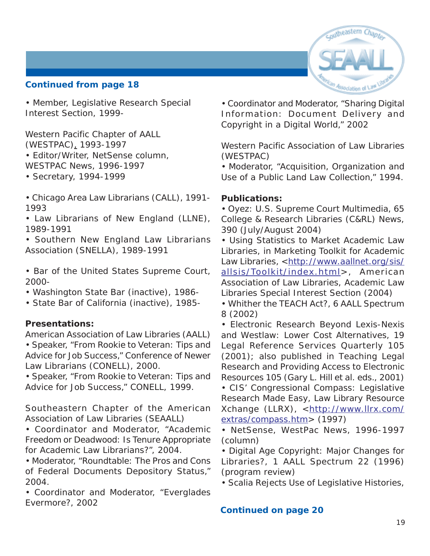

• Member, Legislative Research Special Interest Section, 1999-

Western Pacific Chapter of AALL (WESTPAC), 1993-1997

- Editor/Writer, NetSense column, *WESTPAC News*, 1996-1997
- Secretary, 1994-1999
- Chicago Area Law Librarians (CALL), 1991- 1993
- Law Librarians of New England (LLNE), 1989-1991
- Southern New England Law Librarians Association (SNELLA), 1989-1991
- Bar of the United States Supreme Court, 2000-
- Washington State Bar (inactive), 1986-
- State Bar of California (inactive), 1985-

### **Presentations:**

American Association of Law Libraries (AALL) • Speaker, "From Rookie to Veteran: Tips and Advice for Job Success," Conference of Newer Law Librarians (CONELL), 2000.

• Speaker, "From Rookie to Veteran: Tips and Advice for Job Success," CONELL, 1999.

Southeastern Chapter of the American Association of Law Libraries (SEAALL)

• Coordinator and Moderator, "Academic Freedom or Deadwood: Is Tenure Appropriate for Academic Law Librarians?", 2004.

• Moderator, "Roundtable: The Pros and Cons of Federal Documents Depository Status," 2004.

• Coordinator and Moderator, "Everglades Evermore?, 2002

• Coordinator and Moderator, "Sharing Digital Information: Document Delivery and Copyright in a Digital World," 2002

Western Pacific Association of Law Libraries (WESTPAC)

• Moderator, "Acquisition, Organization and Use of a Public Land Law Collection," 1994.

### **Publications:**

• *Oyez: U.S. Supreme Court Multimedia*, 65 College & Research Libraries (C&RL) News, 390 (July/August 2004)

- *Using Statistics to Market Academic Law Libraries*, in Marketing Toolkit for Academic Law Libraries, <[http://www.aallnet.org/sis/](http://www.aallnet.org/sis/allsis/Toolkit/index.html) [allsis/Toolkit/index.html>](http://www.aallnet.org/sis/allsis/Toolkit/index.html), American Association of Law Libraries, Academic Law Libraries Special Interest Section (2004)
- *Whither the TEACH Act?*, 6 AALL Spectrum 8 (2002)

• *Electronic Research Beyond Lexis-Nexis and Westlaw: Lower Cost Alternatives*, 19 Legal Reference Services Quarterly 105 (2001); also published in *Teaching Legal Research and Providing Access to Electronic Resources* 105 (Gary L. Hill et al. eds., 2001)

• *CIS' Congressional Compass: Legislative Research Made Easy*, Law Library Resource Xchange (LLRX), <[http://www.llrx.com/](http://www.llrx.com/extras/compass.htm) [extras/compass.htm>](http://www.llrx.com/extras/compass.htm) (1997)

• NetSense, *WestPac News*, 1996-1997 (column)

• *Digital Age Copyright: Major Changes for Libraries?*, 1 AALL Spectrum 22 (1996) (program review)

• *Scalia Rejects Use of Legislative Histories*,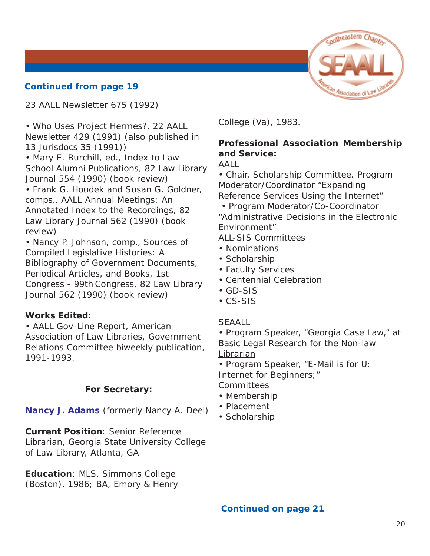<span id="page-19-0"></span>23 AALL Newsletter 675 (1992)

• *Who Uses Project Hermes?*, 22 AALL Newsletter 429 (1991) (also published in 13 Jurisdocs 35 (1991))

• Mary E. Burchill, ed., *Index to Law School Alumni Publications*, 82 Law Library Journal 554 (1990) (book review)

• Frank G. Houdek and Susan G. Goldner, comps., *AALL Annual Meetings: An Annotated Index to the Recordings*, 82 Law Library Journal 562 (1990) (book review)

• Nancy P. Johnson, comp., *Sources of Compiled Legislative Histories: A Bibliography of Government Documents, Periodical Articles, and Books, 1st Congress - 99th Congress*, 82 Law Library Journal 562 (1990) (book review)

### **Works Edited:**

• *AALL Gov-Line Report*, American Association of Law Libraries, Government Relations Committee biweekly publication, 1991-1993.

### **For Secretary:**

**Nancy J. Adams** (formerly Nancy A. Deel)

**Current Position**: Senior Reference Librarian, Georgia State University College of Law Library, Atlanta, GA

**Education**: MLS, Simmons College (Boston), 1986; BA, Emory & Henry College (Va), 1983.

### **Professional Association Membership and Service:**

AALL

• Chair, Scholarship Committee. Program Moderator/Coordinator "Expanding Reference Services Using the Internet"

 • Program Moderator/Co-Coordinator "Administrative Decisions in the Electronic Environment"

ALL-SIS Committees

- Nominations
- Scholarship
- Faculty Services
- Centennial Celebration
- GD-SIS
- CS-SIS

### **SEAALL**

• Program Speaker, "Georgia Case Law," at Basic Legal Research for the Non-law Librarian

• Program Speaker, "E-Mail is for U:

Internet for Beginners;"

**Committees** 

- Membership
- Placement
- Scholarship

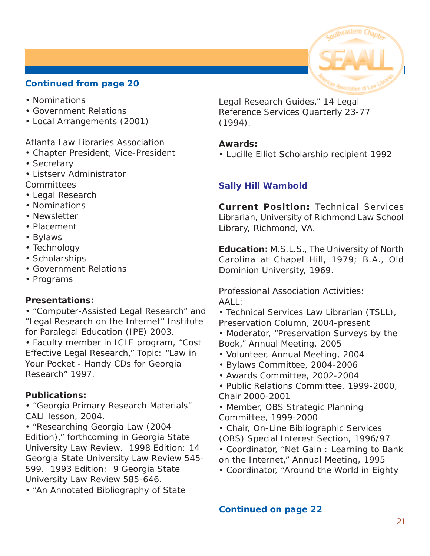- <span id="page-20-0"></span>• Nominations
- Government Relations
- Local Arrangements (2001)

### Atlanta Law Libraries Association

- Chapter President, Vice-President
- Secretary
- Listserv Administrator
- **Committees**
- Legal Research • Nominations
- Newsletter
- Placement
- Bylaws
- Technology
- Scholarships
- Government Relations
- Programs

### **Presentations:**

• "Computer-Assisted Legal Research" and "Legal Research on the Internet" Institute for Paralegal Education (IPE) 2003.

• Faculty member in ICLE program, "Cost Effective Legal Research," Topic: "Law in Your Pocket - Handy CDs for Georgia Research" 1997.

### **Publications:**

• "Georgia Primary Research Materials" CALI lesson, 2004.

• "Researching Georgia Law (2004 Edition)," forthcoming in *Georgia State University Law Review*. 1998 Edition: 14 *Georgia State University Law Review* 545- 599. 1993 Edition: 9 *Georgia State University Law Review* 585-646.

• "An Annotated Bibliography of State

Legal Research Guides," 14 *Legal Reference Services Quarterly* 23-77 (1994).

### **Awards:**

• Lucille Elliot Scholarship recipient 1992

### **Sally Hill Wambold**

**Current Position:** Technical Services Librarian, University of Richmond Law School Library, Richmond, VA.

**Education:** M.S.L.S., The University of North Carolina at Chapel Hill, 1979; B.A., Old Dominion University, 1969.

Professional Association Activities: AALL:

- Technical Services Law Librarian (TSLL),
- Preservation Column, 2004-present
- Moderator, "Preservation Surveys by the Book," Annual Meeting, 2005
- Volunteer, Annual Meeting, 2004
- Bylaws Committee, 2004-2006
- Awards Committee, 2002-2004
- Public Relations Committee, 1999-2000, Chair 2000-2001
- Member, OBS Strategic Planning Committee, 1999-2000
- Chair, On-Line Bibliographic Services
- (OBS) Special Interest Section, 1996/97
- Coordinator, "Net Gain : Learning to Bank on the Internet," Annual Meeting, 1995
- Coordinator, "Around the World in Eighty

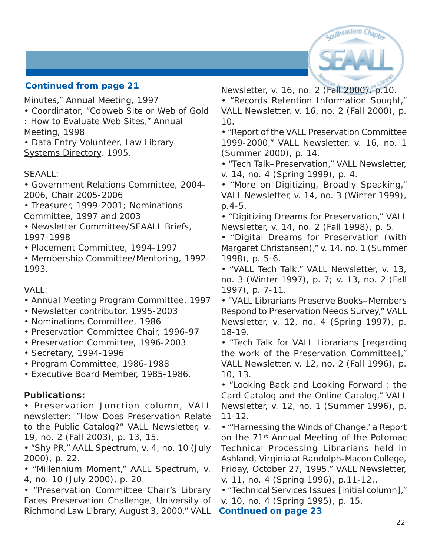

Minutes," Annual Meeting, 1997

- Coordinator, "Cobweb Site or Web of Gold
- : How to Evaluate Web Sites," Annual Meeting, 1998

• Data Entry Volunteer, Law Library Systems Directory, 1995.

### SEAALL:

- Government Relations Committee, 2004- 2006, Chair 2005-2006
- Treasurer, 1999-2001; Nominations Committee, 1997 and 2003
- Newsletter Committee/SEAALL Briefs, 1997-1998
- Placement Committee, 1994-1997
- Membership Committee/Mentoring, 1992- 1993.

VALL:

- Annual Meeting Program Committee, 1997
- Newsletter contributor, 1995-2003
- Nominations Committee, 1986
- Preservation Committee Chair, 1996-97
- Preservation Committee, 1996-2003
- Secretary, 1994-1996
- Program Committee, 1986-1988

• Executive Board Member, 1985-1986.

### **Publications:**

• Preservation Junction column, VALL newsletter: "How Does Preservation Relate to the Public Catalog?" VALL Newsletter, v. 19, no. 2 (Fall 2003), p. 13, 15.

• "Shy PR," AALL Spectrum, v. 4, no. 10 (July 2000), p. 22.

• "Millennium Moment," AALL Spectrum, v. 4, no. 10 (July 2000), p. 20.

• "Preservation Committee Chair's Library Faces Preservation Challenge, University of Richmond Law Library, August 3, 2000," VALL Newsletter, v. 16, no. 2 (Fall 2000), p.10.

• "Records Retention Information Sought," VALL Newsletter, v. 16, no. 2 (Fall 2000), p. 10.

• "Report of the VALL Preservation Committee 1999-2000," VALL Newsletter, v. 16, no. 1 (Summer 2000), p. 14.

• "Tech Talk–Preservation," VALL Newsletter, v. 14, no. 4 (Spring 1999), p. 4.

• "More on Digitizing, Broadly Speaking," VALL Newsletter, v. 14, no. 3 (Winter 1999), p.4-5.

• "Digitizing Dreams for Preservation," VALL Newsletter, v. 14, no. 2 (Fall 1998), p. 5.

• "Digital Dreams for Preservation (with Margaret Christansen)," v. 14, no. 1 (Summer 1998), p. 5-6.

• "VALL Tech Talk," VALL Newsletter, v. 13, no. 3 (Winter 1997), p. 7; v. 13, no. 2 (Fall 1997), p. 7-11.

• "VALL Librarians Preserve Books–Members Respond to Preservation Needs Survey," VALL Newsletter, v. 12, no. 4 (Spring 1997), p. 18-19.

• "Tech Talk for VALL Librarians [regarding the work of the Preservation Committee]," VALL Newsletter, v. 12, no. 2 (Fall 1996), p. 10, 13.

• "Looking Back and Looking Forward : the Card Catalog and the Online Catalog," VALL Newsletter, v. 12, no. 1 (Summer 1996), p. 11-12.

• "'Harnessing the Winds of Change,' a Report on the 71<sup>st</sup> Annual Meeting of the Potomac Technical Processing Librarians held in Ashland, Virginia at Randolph-Macon College, Friday, October 27, 1995," VALL Newsletter, v. 11, no. 4 (Spring 1996), p.11-12..

• "Technical Services Issues [initial column]," v. 10, no. 4 (Spring 1995), p. 15. **Continued on page 23**

22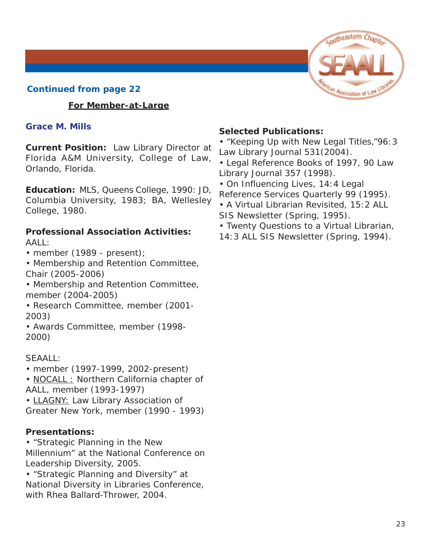### <span id="page-22-0"></span>**For Member-at-Large**

### **Grace M. Mills**

**Current Position:** Law Library Director at Florida A&M University, College of Law, Orlando, Florida.

**Education:** MLS, Queens College, 1990: JD, Columbia University, 1983; BA, Wellesley College, 1980.

### **Professional Association Activities:** AALL:

- member (1989 present);
- Membership and Retention Committee, Chair (2005-2006)
- Membership and Retention Committee, member (2004-2005)
- Research Committee, member (2001- 2003)
- Awards Committee, member (1998- 2000)

### SEAALL:

• member (1997-1999, 2002-present)

• NOCALL : Northern California chapter of AALL, member (1993-1997)

• LLAGNY: Law Library Association of Greater New York, member (1990 - 1993)

### **Presentations:**

• "Strategic Planning in the New

Millennium" at the National Conference on Leadership Diversity, 2005.

• "Strategic Planning and Diversity" at National Diversity in Libraries Conference, with Rhea Ballard-Thrower, 2004.

### **Selected Publications:**

• "Keeping Up with New Legal Titles,"96:3 *Law Library Journal* 531(2004).

• Legal Reference Books of 1997, 90 *Law Library Journal* 357 (1998).

• On Influencing Lives, 14:4 *Legal Reference Services Quarterly* 99 (1995).

- A Virtual Librarian Revisited, 15:2 *ALL SIS Newsletter* (Spring, 1995).
- Twenty Questions to a Virtual Librarian,
- 14:3 *ALL SIS Newsletter* (Spring, 1994).

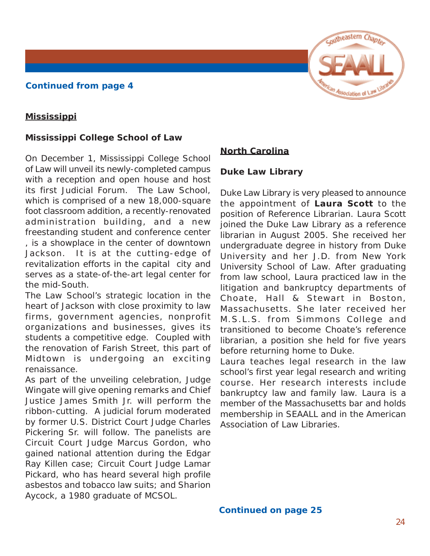

### <span id="page-23-0"></span>**Mississippi**

### **Mississippi College School of Law**

On December 1, Mississippi College School of Law will unveil its newly-completed campus with a reception and open house and host its first Judicial Forum. The Law School, which is comprised of a new 18,000-square foot classroom addition, a recently-renovated administration building, and a new freestanding student and conference center , is a showplace in the center of downtown Jackson. It is at the cutting-edge of revitalization efforts in the capital city and serves as a state-of-the-art legal center for the mid-South.

The Law School's strategic location in the heart of Jackson with close proximity to law firms, government agencies, nonprofit organizations and businesses, gives its students a competitive edge. Coupled with the renovation of Farish Street, this part of Midtown is undergoing an exciting renaissance.

As part of the unveiling celebration, Judge Wingate will give opening remarks and Chief Justice James Smith Jr. will perform the ribbon-cutting. A judicial forum moderated by former U.S. District Court Judge Charles Pickering Sr. will follow. The panelists are Circuit Court Judge Marcus Gordon, who gained national attention during the Edgar Ray Killen case; Circuit Court Judge Lamar Pickard, who has heard several high profile asbestos and tobacco law suits; and Sharion Aycock, a 1980 graduate of MCSOL.

### **North Carolina**

### **Duke Law Library**

Duke Law Library is very pleased to announce the appointment of **Laura Scott** to the position of Reference Librarian. Laura Scott joined the Duke Law Library as a reference librarian in August 2005. She received her undergraduate degree in history from Duke University and her J.D. from New York University School of Law. After graduating from law school, Laura practiced law in the litigation and bankruptcy departments of Choate, Hall & Stewart in Boston, Massachusetts. She later received her M.S.L.S. from Simmons College and transitioned to become Choate's reference librarian, a position she held for five years before returning home to Duke.

Laura teaches legal research in the law school's first year legal research and writing course. Her research interests include bankruptcy law and family law. Laura is a member of the Massachusetts bar and holds membership in SEAALL and in the American Association of Law Libraries.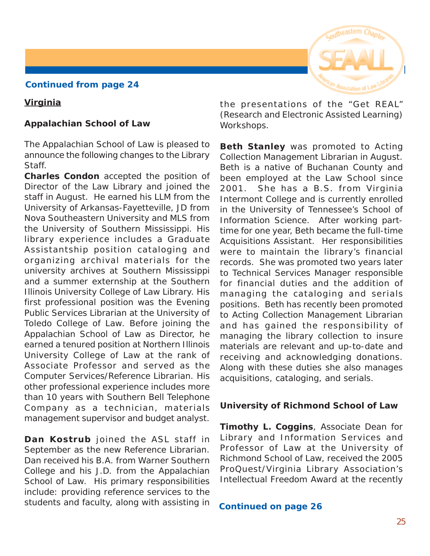### **Virginia**

### **Appalachian School of Law**

The Appalachian School of Law is pleased to announce the following changes to the Library Staff.

**Charles Condon** accepted the position of Director of the Law Library and joined the staff in August. He earned his LLM from the University of Arkansas-Fayetteville, JD from Nova Southeastern University and MLS from the University of Southern Mississippi. His library experience includes a Graduate Assistantship position cataloging and organizing archival materials for the university archives at Southern Mississippi and a summer externship at the Southern Illinois University College of Law Library. His first professional position was the Evening Public Services Librarian at the University of Toledo College of Law. Before joining the Appalachian School of Law as Director, he earned a tenured position at Northern Illinois University College of Law at the rank of Associate Professor and served as the Computer Services/Reference Librarian. His other professional experience includes more than 10 years with Southern Bell Telephone Company as a technician, materials management supervisor and budget analyst.

**Dan Kostrub** joined the ASL staff in September as the new Reference Librarian. Dan received his B.A. from Warner Southern College and his J.D. from the Appalachian School of Law. His primary responsibilities include: providing reference services to the students and faculty, along with assisting in



the presentations of the "Get REAL" (Research and Electronic Assisted Learning) Workshops.

**Beth Stanley** was promoted to Acting Collection Management Librarian in August. Beth is a native of Buchanan County and been employed at the Law School since 2001. She has a B.S. from Virginia Intermont College and is currently enrolled in the University of Tennessee's School of Information Science. After working parttime for one year, Beth became the full-time Acquisitions Assistant. Her responsibilities were to maintain the library's financial records. She was promoted two years later to Technical Services Manager responsible for financial duties and the addition of managing the cataloging and serials positions. Beth has recently been promoted to Acting Collection Management Librarian and has gained the responsibility of managing the library collection to insure materials are relevant and up-to-date and receiving and acknowledging donations. Along with these duties she also manages acquisitions, cataloging, and serials.

### **University of Richmond School of Law**

**Timothy L. Coggins**, Associate Dean for Library and Information Services and Professor of Law at the University of Richmond School of Law, received the 2005 ProQuest/Virginia Library Association's Intellectual Freedom Award at the recently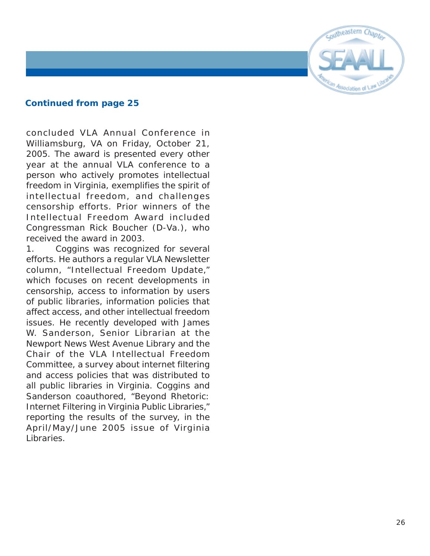

concluded VLA Annual Conference in Williamsburg, VA on Friday, October 21, 2005. The award is presented every other year at the annual VLA conference to a person who actively promotes intellectual freedom in Virginia, exemplifies the spirit of intellectual freedom, and challenges censorship efforts. Prior winners of the Intellectual Freedom Award included Congressman Rick Boucher (D-Va.), who received the award in 2003.

1. Coggins was recognized for several efforts. He authors a regular VLA Newsletter column, "Intellectual Freedom Update," which focuses on recent developments in censorship, access to information by users of public libraries, information policies that affect access, and other intellectual freedom issues. He recently developed with James W. Sanderson, Senior Librarian at the Newport News West Avenue Library and the Chair of the VLA Intellectual Freedom Committee, a survey about internet filtering and access policies that was distributed to all public libraries in Virginia. Coggins and Sanderson coauthored, "Beyond Rhetoric: Internet Filtering in Virginia Public Libraries," reporting the results of the survey, in the April/May/June 2005 issue of *Virginia Libraries*.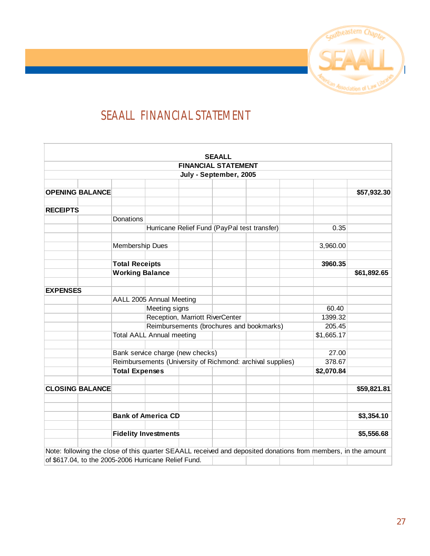

# <span id="page-26-0"></span>**SEAALL FINANCIAL STATEMENT**

|                 |                                                      |                                                            |                                          |                                  | <b>SEAALL</b>              |                                              |                                                                                                               |             |
|-----------------|------------------------------------------------------|------------------------------------------------------------|------------------------------------------|----------------------------------|----------------------------|----------------------------------------------|---------------------------------------------------------------------------------------------------------------|-------------|
|                 |                                                      |                                                            |                                          |                                  | <b>FINANCIAL STATEMENT</b> |                                              |                                                                                                               |             |
|                 |                                                      |                                                            |                                          |                                  | July - September, 2005     |                                              |                                                                                                               |             |
|                 |                                                      |                                                            |                                          |                                  |                            |                                              |                                                                                                               |             |
|                 | <b>OPENING BALANCE</b>                               |                                                            |                                          |                                  |                            |                                              |                                                                                                               | \$57,932.30 |
| <b>RECEIPTS</b> |                                                      |                                                            |                                          |                                  |                            |                                              |                                                                                                               |             |
|                 |                                                      | Donations                                                  |                                          |                                  |                            |                                              |                                                                                                               |             |
|                 |                                                      |                                                            |                                          |                                  |                            | Hurricane Relief Fund (PayPal test transfer) | 0.35                                                                                                          |             |
|                 |                                                      |                                                            |                                          |                                  |                            |                                              |                                                                                                               |             |
|                 |                                                      | Membership Dues                                            |                                          |                                  |                            |                                              | 3,960.00                                                                                                      |             |
|                 |                                                      | <b>Total Receipts</b>                                      |                                          |                                  |                            |                                              | 3960.35                                                                                                       |             |
|                 |                                                      | <b>Working Balance</b>                                     |                                          |                                  |                            |                                              |                                                                                                               | \$61,892.65 |
| <b>EXPENSES</b> |                                                      |                                                            |                                          |                                  |                            |                                              |                                                                                                               |             |
|                 |                                                      |                                                            | AALL 2005 Annual Meeting                 |                                  |                            |                                              |                                                                                                               |             |
|                 |                                                      |                                                            | Meeting signs                            |                                  |                            |                                              | 60.40                                                                                                         |             |
|                 |                                                      |                                                            | Reception, Marriott RiverCenter          |                                  |                            |                                              | 1399.32                                                                                                       |             |
|                 |                                                      |                                                            | Reimbursements (brochures and bookmarks) |                                  |                            |                                              | 205.45                                                                                                        |             |
|                 |                                                      |                                                            | <b>Total AALL Annual meeting</b>         |                                  |                            |                                              | \$1,665.17                                                                                                    |             |
|                 |                                                      |                                                            |                                          | Bank service charge (new checks) |                            |                                              | 27.00                                                                                                         |             |
|                 |                                                      | Reimbursements (University of Richmond: archival supplies) |                                          |                                  |                            |                                              | 378.67                                                                                                        |             |
|                 |                                                      | <b>Total Expenses</b>                                      |                                          |                                  |                            |                                              | \$2,070.84                                                                                                    |             |
|                 | <b>CLOSING BALANCE</b>                               |                                                            |                                          |                                  |                            |                                              |                                                                                                               | \$59,821.81 |
|                 |                                                      |                                                            |                                          |                                  |                            |                                              |                                                                                                               |             |
|                 |                                                      | <b>Bank of America CD</b>                                  |                                          |                                  |                            |                                              |                                                                                                               | \$3,354.10  |
|                 |                                                      |                                                            |                                          |                                  |                            |                                              |                                                                                                               |             |
|                 |                                                      | <b>Fidelity Investments</b>                                |                                          |                                  |                            |                                              |                                                                                                               | \$5,556.68  |
|                 |                                                      |                                                            |                                          |                                  |                            |                                              |                                                                                                               |             |
|                 |                                                      |                                                            |                                          |                                  |                            |                                              | Note: following the close of this quarter SEAALL received and deposited donations from members, in the amount |             |
|                 | of \$617.04, to the 2005-2006 Hurricane Relief Fund. |                                                            |                                          |                                  |                            |                                              |                                                                                                               |             |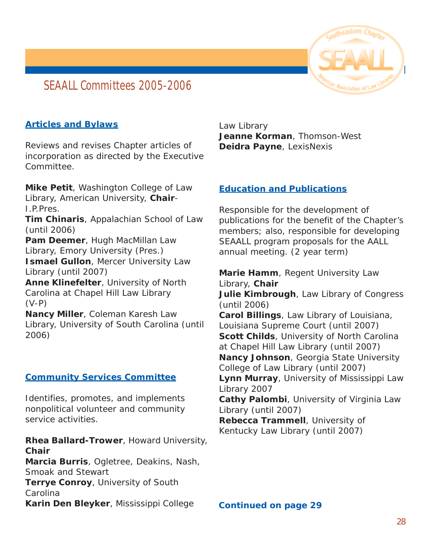# <span id="page-27-0"></span>**SEAALL Committees 2005-2006**



### **Articles and Bylaws**

Reviews and revises Chapter articles of incorporation as directed by the Executive Committee.

**Mike Petit**, Washington College of Law Library, American University, **Chair**-I.P.Pres.

**Tim Chinaris**, Appalachian School of Law (until 2006)

**Pam Deemer**, Hugh MacMillan Law Library, Emory University (Pres.) **Ismael Gullon**, Mercer University Law Library (until 2007)

**Anne Klinefelter**, University of North Carolina at Chapel Hill Law Library (V-P)

**Nancy Miller**, Coleman Karesh Law Library, University of South Carolina (until 2006)

### **Community Services Committee**

Identifies, promotes, and implements nonpolitical volunteer and community service activities.

**Rhea Ballard-Trower**, Howard University, **Chair Marcia Burris**, Ogletree, Deakins, Nash, Smoak and Stewart

**Terrye Conroy**, University of South

Carolina

**Karin Den Bleyker**, Mississippi College

Law Library **Jeanne Korman**, Thomson-West **Deidra Payne**, LexisNexis

### **Education and Publications**

Responsible for the development of publications for the benefit of the Chapter's members; also, responsible for developing SEAALL program proposals for the AALL annual meeting. (2 year term)

**Marie Hamm**, Regent University Law Library, **Chair Julie Kimbrough**, Law Library of Congress (until 2006) **Carol Billings**, Law Library of Louisiana, Louisiana Supreme Court (until 2007) **Scott Childs**, University of North Carolina at Chapel Hill Law Library (until 2007) **Nancy Johnson**, Georgia State University College of Law Library (until 2007) **Lynn Murray**, University of Mississippi Law Library 2007 **Cathy Palombi**, University of Virginia Law Library (until 2007) **Rebecca Trammell**, University of Kentucky Law Library (until 2007)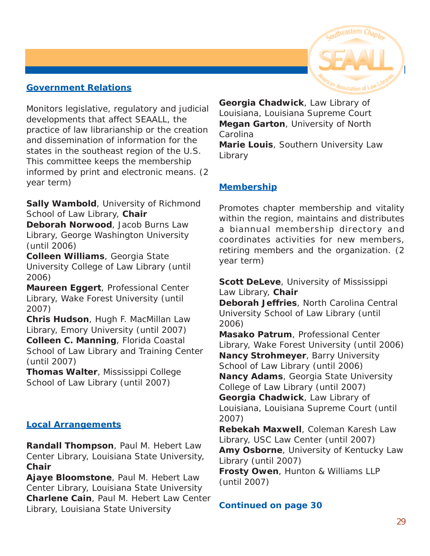### **Government Relations**

Monitors legislative, regulatory and judicial developments that affect SEAALL, the practice of law librarianship or the creation and dissemination of information for the states in the southeast region of the U.S. This committee keeps the membership informed by print and electronic means. (2 year term)

**Sally Wambold**, University of Richmond School of Law Library, **Chair**

**Deborah Norwood**, Jacob Burns Law Library, George Washington University (until 2006)

**Colleen Williams**, Georgia State University College of Law Library (until 2006)

**Maureen Eggert**, Professional Center Library, Wake Forest University (until 2007)

**Chris Hudson**, Hugh F. MacMillan Law Library, Emory University (until 2007) **Colleen C. Manning**, Florida Coastal School of Law Library and Training Center (until 2007)

**Thomas Walter**, Mississippi College School of Law Library (until 2007)

### **Local Arrangements**

**Randall Thompson**, Paul M. Hebert Law Center Library, Louisiana State University, **Chair**

**Ajaye Bloomstone**, Paul M. Hebert Law Center Library, Louisiana State University **Charlene Cain**, Paul M. Hebert Law Center Library, Louisiana State University

**Georgia Chadwick**, Law Library of Louisiana, Louisiana Supreme Court **Megan Garton**, University of North Carolina **Marie Louis**, Southern University Law

Library

### **Membership**

Promotes chapter membership and vitality within the region, maintains and distributes a biannual membership directory and coordinates activities for new members, retiring members and the organization. (2 year term)

**Scott DeLeve**, University of Mississippi Law Library, **Chair**

**Deborah Jeffries**, North Carolina Central University School of Law Library (until 2006)

**Masako Patrum**, Professional Center Library, Wake Forest University (until 2006) **Nancy Strohmeyer**, Barry University School of Law Library (until 2006) **Nancy Adams**, Georgia State University College of Law Library (until 2007) **Georgia Chadwick**, Law Library of Louisiana, Louisiana Supreme Court (until 2007)

**Rebekah Maxwell**, Coleman Karesh Law Library, USC Law Center (until 2007) **Amy Osborne**, University of Kentucky Law Library (until 2007)

**Frosty Owen**, Hunton & Williams LLP (until 2007)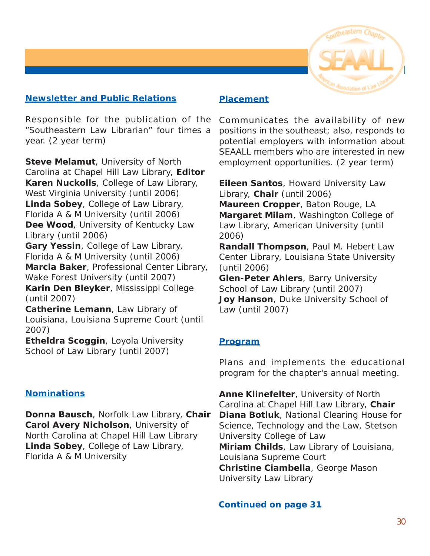

### **Newsletter and Public Relations**

Responsible for the publication of the "Southeastern Law Librarian" four times a year. (2 year term)

**Steve Melamut**, University of North Carolina at Chapel Hill Law Library, **Editor Karen Nuckolls**, College of Law Library, West Virginia University (until 2006) **Linda Sobey**, College of Law Library, Florida A & M University (until 2006) **Dee Wood**, University of Kentucky Law Library (until 2006) **Gary Yessin**, College of Law Library, Florida A & M University (until 2006)

**Marcia Baker**, Professional Center Library, Wake Forest University (until 2007) **Karin Den Bleyker**, Mississippi College (until 2007)

**Catherine Lemann**, Law Library of Louisiana, Louisiana Supreme Court (until 2007)

**Etheldra Scoggin**, Loyola University School of Law Library (until 2007)

### **Nominations**

**Donna Bausch**, Norfolk Law Library, **Chair Carol Avery Nicholson**, University of North Carolina at Chapel Hill Law Library **Linda Sobey**, College of Law Library, Florida A & M University

### **Placement**

Communicates the availability of new positions in the southeast; also, responds to potential employers with information about SEAALL members who are interested in new employment opportunities. (2 year term)

**Eileen Santos**, Howard University Law Library, **Chair** (until 2006)

**Maureen Cropper**, Baton Rouge, LA **Margaret Milam**, Washington College of Law Library, American University (until 2006)

**Randall Thompson**, Paul M. Hebert Law Center Library, Louisiana State University (until 2006)

**Glen-Peter Ahlers**, Barry University School of Law Library (until 2007) **Joy Hanson**, Duke University School of Law (until 2007)

### **Program**

Plans and implements the educational program for the chapter's annual meeting.

**Anne Klinefelter**, University of North Carolina at Chapel Hill Law Library, **Chair Diana Botluk**, National Clearing House for Science, Technology and the Law, Stetson University College of Law **Miriam Childs**, Law Library of Louisiana, Louisiana Supreme Court **Christine Ciambella**, George Mason University Law Library